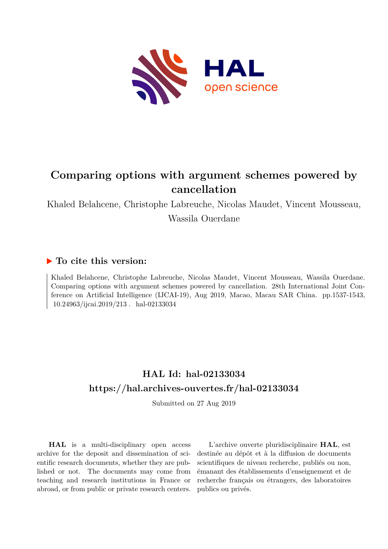

# **Comparing options with argument schemes powered by cancellation**

Khaled Belahcene, Christophe Labreuche, Nicolas Maudet, Vincent Mousseau, Wassila Ouerdane

## **To cite this version:**

Khaled Belahcene, Christophe Labreuche, Nicolas Maudet, Vincent Mousseau, Wassila Ouerdane. Comparing options with argument schemes powered by cancellation. 28th International Joint Conference on Artificial Intelligence (IJCAI-19), Aug 2019, Macao, Macau SAR China. pp.1537-1543, 10.24963/ijcai.2019/213. hal-02133034

## **HAL Id: hal-02133034 <https://hal.archives-ouvertes.fr/hal-02133034>**

Submitted on 27 Aug 2019

**HAL** is a multi-disciplinary open access archive for the deposit and dissemination of scientific research documents, whether they are published or not. The documents may come from teaching and research institutions in France or abroad, or from public or private research centers.

L'archive ouverte pluridisciplinaire **HAL**, est destinée au dépôt et à la diffusion de documents scientifiques de niveau recherche, publiés ou non, émanant des établissements d'enseignement et de recherche français ou étrangers, des laboratoires publics ou privés.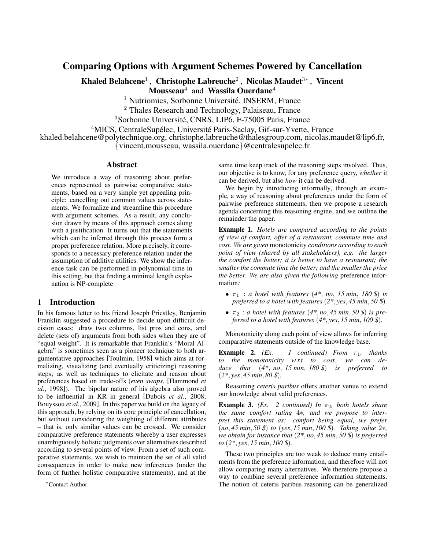## Comparing Options with Argument Schemes Powered by Cancellation

Khaled Belahcene<sup>1</sup>, Christophe Labreuche<sup>2</sup>, Nicolas Maudet<sup>3</sup>\*, Vincent

**Mousseau**<sup>4</sup> and **Wassila Ouerdane**<sup>4</sup>

<sup>1</sup> Nutriomics, Sorbonne Université, INSERM, France

<sup>2</sup> Thales Research and Technology, Palaiseau, France

<sup>3</sup>Sorbonne Université, CNRS, LIP6, F-75005 Paris, France

<sup>4</sup>MICS, CentraleSupélec, Université Paris-Saclay, Gif-sur-Yvette, France

khaled.belahcene@polytechnique.org, christophe.labreuche@thalesgroup.com, nicolas.maudet@lip6.fr,

{vincent.mousseau, wassila.ouerdane}@centralesupelec.fr

#### Abstract

We introduce a way of reasoning about preferences represented as pairwise comparative statements, based on a very simple yet appealing principle: cancelling out common values across statements. We formalize and streamline this procedure with argument schemes. As a result, any conclusion drawn by means of this approach comes along with a justification. It turns out that the statements which can be inferred through this process form a proper preference relation. More precisely, it corresponds to a necessary preference relation under the assumption of additive utilities. We show the inference task can be performed in polynomial time in this setting, but that finding a minimal length explanation is NP-complete.

## 1 Introduction

In his famous letter to his friend Joseph Priestley, Benjamin Franklin suggested a procedure to decide upon difficult decision cases: draw two columns, list pros and cons, and delete (sets of) arguments from both sides when they are of "equal weight". It is remarkable that Franklin's "Moral Algebra" is sometimes seen as a pioneer technique to both argumentative approaches [Toulmin, 1958] which aims at formalizing, visualizing (and eventually criticizing) reasoning steps; as well as techniques to elicitate and reason about preferences based on trade-offs (*even swaps*, [Hammond *et al.*, 1998]). The bipolar nature of his algebra also proved to be influential in KR in general [Dubois *et al.*, 2008; Bouyssou *et al.*, 2009]. In this paper we build on the legacy of this approach, by relying on its core principle of cancellation, but without considering the weighting of different attributes – that is, only similar values can be crossed. We consider comparative preference statements whereby a user expresses unambiguously holistic judgments over alternatives described according to several points of view. From a set of such comparative statements, we wish to maintain the set of all valid consequences in order to make new inferences (under the form of further holistic comparative statements), and at the

same time keep track of the reasoning steps involved. Thus, our objective is to know, for any preference query, *whether* it can be derived, but also *how* it can be derived.

We begin by introducing informally, through an example, a way of reasoning about preferences under the form of pairwise preference statements, then we propose a research agenda concerning this reasoning engine, and we outline the remainder the paper.

Example 1. *Hotels are compared according to the points of view of comfort, offer of a restaurant, commute time and cost. We are given* monotonicity *conditions according to each point of view (shared by all stakeholders), e.g. the larger the comfort the better; it is better to have a restaurant; the smaller the commute time the better; and the smaller the price the better. We are also given the following* preference information*:*

- $\pi_1$  : *a hotel with features* (4<sup>\*</sup>, *no*, 15 *min*, 180 \$) *is preferred to a hotel with features* (*2\**, *yes*, *45 min*, *50* \$)*.*
- $\pi_2$ : *a hotel with features*  $(4^*, no, 45 min, 50 \text{ s})$  *is preferred to a hotel with features* (*4\**, *yes*, *15 min*, *100* \$)*.*

Monotonicity along each point of view allows for inferring comparative statements outside of the knowledge base.

**Example 2.** *(Ex.* 1 *continued)* From  $\pi_1$ , thanks *to the monotonicity w.r.t to cost, we can deduce that* (*4\**, *no*, *15 min*, *180* \$) *is preferred to* (*2\**, *yes*, *45 min*, *80* \$)*.*

Reasoning *ceteris paribus* offers another venue to extend our knowledge about valid preferences.

**Example 3.** *(Ex.* 2 *continued)* In  $\pi_2$ *, both hotels share the same comfort rating* 4∗*, and we propose to interpret this statement as: comfort being equal, we prefer* (*no*, *45 min*, *50* \$) *to* (*yes*, *15 min*, *100* \$)*. Taking value* 2∗*, we obtain for instance that* (*2\**, *no*, *45 min*, *50* \$) *is preferred to* (*2\**, *yes*, *15 min*, *100* \$)*.*

These two principles are too weak to deduce many entailments from the preference information, and therefore will not allow comparing many alternatives. We therefore propose a way to combine several preference information statements. The notion of ceteris paribus reasoning can be generalized

<sup>∗</sup>Contact Author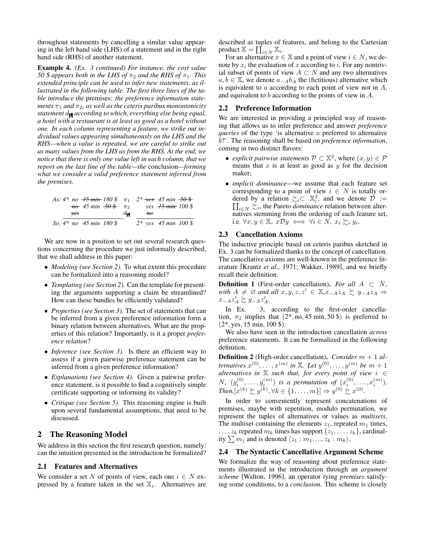throughout statements by cancelling a similar value appearing in the left hand side (LHS) of a statement and in the right hand side (RHS) of another statement.

Example 4. *(Ex. 3 continued) For instance, the cost value 50* \$ *appears both in the LHS of*  $\pi_2$  *and the RHS of*  $\pi_1$ *. This extended principle can be used to infer new statements, as illustrated in the following table. The first three lines of the table introduce the* premises*: the preference information statements*  $\pi_1$  *and*  $\pi_2$ *, as well as the ceteris paribus monontonicity statement*  $d_{\text{M}}$  *according to which, everything else being equal, a hotel with a restaurant is at least as good as a hotel without one. In each column representing a feature, we strike out individual values appearing simultaneously on the LHS and the RHS—when a value is repeated, we are careful to strike out as many values from the LHS as from the RHS. At the end, we notice that there is only one value left in each column, that we report on the last line of the table—the* conclusion*—forming what we consider a valid preference statement inferred from the premises.*

*As:*  $4^*$  *no*  $\overline{45}$  *min*  $180 \text{ }$   $\pi$ <sub>1</sub>  $2^*$  *yes*  $45$  *min*  $\overline{50}$   $\overline{\text{}}$ *no 45 min 50* \$ π<sup>2</sup> *yes 15 min 100* \$  $\frac{d\mathbf{v}}{45 \text{ min } 180 \text{ s}}$   $\frac{h\theta}{2^* \text{ yes } 45 \text{ min } 100 \text{ s}}$ *So,*  $\frac{1}{4 * no}$  45 min 180 \$

We are now in a position to set out several research questions concerning the procedure we just informally described, that we shall address in this paper:

- *Modeling (see Section 2).* To what extent this procedure can be formalized into a reasoning model?
- *Templating (see Section 2).* Can the template for presenting the arguments supporting a claim be streamlined? How can these bundles be efficiently validated?
- *Properties (see Section 3).* The set of statements that can be inferred from a given preference information form a binary relation between alternatives. What are the properties of this relation? Importantly, is it a proper *preference relation*?
- *Inference (see Section 3).* Is there an efficient way to assess if a given pairwise preference statement can be inferred from a given preference information?
- *Explanations (see Section 4).* Given a pairwise preference statement, is it possible to find a cognitively simple certificate supporting or informing its validity?
- *Critique (see Section 5).* This reasoning engine is built upon several fundamental assumptions, that need to be discussed.

## 2 The Reasoning Model

We address in this section the first research question, namely: can the intuition presented in the introduction be formalized?

#### 2.1 Features and Alternatives

We consider a set N of points of view, each one  $i \in N$  expressed by a feature taken in the set  $\mathbb{X}_i$ . Alternatives are described as tuples of features, and belong to the Cartesian product  $\mathbb{X} = \prod_{i \in N}^{\bullet} \mathbb{X}_i$ .

For an alternative  $x \in \mathbb{X}$  and a point of view  $i \in N$ , we denote by  $x_i$  the evaluation of x according to i. For any nontrivial subset of points of view  $A \subset N$  and any two alternatives  $a, b \in \mathbb{X}$ , we denote  $a_{-A}b_A$  the (fictitious) alternative which is equivalent to  $a$  according to each point of view not in  $A$ , and equivalent to b according to the points of view in A.

#### 2.2 Preference Information

We are interested in providing a principled way of reasoning that allows us to infer preference and answer *preference queries* of the type 'is alternative a preferred to alternative b?'. The reasoning shall be based on *preference information*, coming in two distinct flavors:

- *explicit pairwise statements*  $P \subset \mathbb{X}^2$ , where  $(x, y) \in \mathcal{P}$ means that  $x$  is at least as good as  $y$  for the decision maker;
- *implicit dominance*—we assume that each feature set corresponding to a point of view  $i \in N$  is totally ordered by a relation  $\succsim_i \subset \mathbb{X}_i^2$ , and we denote  $\mathcal{D} :=$  $\prod_{i \in N} \sum_{i}$ , the Pareto *dominance* relation between alternatives stemming from the ordering of each feature set, i.e.  $\forall x, y \in \mathbb{X}, x \mathcal{D}y \iff \forall i \in \overline{N}, x_i \succsim_i y_i$ .

#### 2.3 Cancellation Axioms

The inductive principle based on ceteris paribus sketched in Ex. 3 can be formalized thanks to the concept of cancellation. The cancellative axioms are well-known in the preference literature [Krantz *et al.*, 1971; Wakker, 1989], and we briefly recall their definition.

**Definition 1** (First-order cancellation). *For all*  $A \subset N$ , *with*  $A \neq \emptyset$  *and all*  $x, y, z, z' \in \mathbb{X}, x_{-A}z_A \geq y_{-A}z_A \Rightarrow$  $x_{-A}z'_A \overset{\leftarrow}{\sim} y_{-A}z'_A.$ 

In Ex. 3, according to the first-order cancellation,  $\pi_2$  implies that  $(2^*, \text{no}, 45 \text{ min}, 50 \text{ s})$  is preferred to  $(2*, \text{yes}, 15 \text{ min}, 100 \text{$ }).

We also have seen in the introduction cancellation *across* preference statements. It can be formalized in the following definition.

Definition 2 (High-order cancellation). *Consider* m + 1 *alternatives*  $x^{(0)}, \ldots, x^{(m)}$  in  $X$ *. Let*  $y^{(0)}, \ldots, y^{(m)}$  *be*  $m + 1$ *alternatives in* X *such that, for every point of view* i ∈ *N*,  $(y_i^{(0)}, \ldots, y_i^{(m)})$  *is a permutation of*  $(x_i^{(0)}, \ldots, x_i^{(m)})$ *.*  $Then, [x^{(k)} \succsim y^{(k)}, \forall k \in \{1, ..., m\}] \Rightarrow y^{(0)} \succsim x^{(0)}.$ 

In order to conveniently represent concatenations of premises, maybe with repetition, modulo permutation, we represent the tuples of alternatives or values as *multisets*. The multiset containing the elements  $z_1$ , repeated  $m_1$  times,  $\ldots$ ,  $z_k$  repeated  $m_k$  times has support  $\{z_1, \ldots, z_k\}$ , cardinality  $\sum m_j$  and is denoted  $\langle z_1 : m_1, ..., z_k : m_k \rangle$ .

#### 2.4 The Syntactic Cancellative Argument Scheme

We formalize the way of reasoning about preference statements illustrated in the introduction through an *argument scheme* [Walton, 1996], an operator tying *premises* satisfying some conditions, to a *conclusion*. This scheme is closely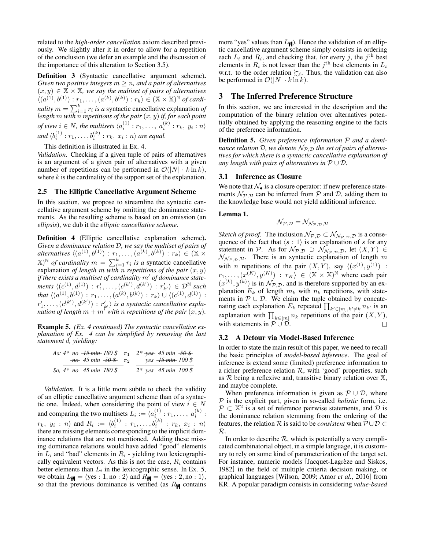related to the *high-order cancellation* axiom described previously. We slightly alter it in order to allow for a repetition of the conclusion (we defer an example and the discussion of the importance of this alteration to Section 3.5).

Definition 3 (Syntactic cancellative argument scheme). *Given two positive integers*  $m \geq n$ *, and a pair of alternatives*  $(x, y) \in \mathbb{X} \times \mathbb{X}$ , we say the multiset of pairs of alternatives  $\langle (a^{(1)}, b^{(1)}) : r_1, \ldots, (a^{(k)}, b^{(k)}) : r_k \rangle \in (\mathbb{X} \times \mathbb{X})^{\mathbb{N}}$  of cardi*nality*  $m = \sum_{i=1}^{k} r_i$  *is a* syntactic cancellative explanation *of length* m *with* n *repetitions of the pair* (x, y) *if, for each point of view*  $i \in N$ , the multisets  $\langle a_i^{(1)} : r_1, \ldots, a_i^{(k)} : r_k, y_i : n \rangle$ and  $\langle b_i^{(1)} : r_1, \ldots, b_i^{(k)} : r_k, x_i : n \rangle$  are equal.

This definition is illustrated in Ex. 4.

*Validation.* Checking if a given tuple of pairs of alternatives is an argument of a given pair of alternatives with a given number of repetitions can be performed in  $\mathcal{O}(|N| \cdot k \ln k)$ , where  $k$  is the cardinality of the support set of the explanation.

#### 2.5 The Elliptic Cancellative Argument Scheme

In this section, we propose to streamline the syntactic cancellative argument scheme by omitting the dominance statements. As the resulting scheme is based on an omission (an *ellipsis*), we dub it the *elliptic cancellative scheme*.

Definition 4 (Elliptic cancellative explanation scheme). *Given a dominance relation* D*, we say the multiset of pairs of alternatives*  $\langle (a^{(1)}, b^{(1)}) : r_1, \ldots, (a^{(k)}, b^{(k)}) : r_k \rangle \in (\mathbb{X} \times$  $(X)$ <sup>N</sup> of cardinality  $m = \sum_{i=1}^{k} r_i$  is a syntactic cancellative explanation *of length* m with *n* repetitions of the pair  $(x, y)$ *if there exists a multiset of cardinality m' of dominance state-* $\textit{ments } \langle (c^{(1)}, d^{(1)}) : r'_1, \ldots, (c^{(k')}, d^{(k')}) : r'_{k'} \rangle \in \mathcal{D}^{\mathbb{N}} \textit{ such}$ that  $\langle (a^{(1)}, b^{(1)}) : r_1, \ldots, (a^{(k)}, b^{(k)}) : r_k \rangle \cup \langle (c^{(1)}, d^{(1)}) :$  $r'_1, \ldots, (c^{(k')}, d^{(k')}) : r'_{k'} \rangle$  is a syntactic cancellative expla*nation of length*  $m + m^{\prime}$  *with* n *repetitions of the pair*  $(x, y)$ *.* 

Example 5. *(Ex. 4 continued) The syntactic cancellative explanation of Ex. 4 can be simplified by removing the last statement* d*, yielding:*

|  | As: $4*$ no $+5$ min 180 \$ $\pi_1$ $2*$ ves 45 min $-50$ \$            |  |                        |                                 |  |
|--|-------------------------------------------------------------------------|--|------------------------|---------------------------------|--|
|  | $\frac{1}{10}$ 45 min $\frac{50 \text{ } -0.06}{10}$ $\pi$ <sub>2</sub> |  |                        | ves <del>-15 min -</del> 100 \$ |  |
|  | So, $4*$ no $45$ min 180 \$                                             |  | $2*$ yes 45 min 100 \$ |                                 |  |

*Validation.* It is a little more subtle to check the validity of an elliptic cancellative argument scheme than of a syntactic one. Indeed, when considering the point of view  $i \in N$ and comparing the two multisets  $L_i := \langle a_i^{(1)} : r_1, \ldots, a_i^{(k)} :$  $\{r_k, y_i:n\}$  and  $R_i := \langle b_i^{(1)}: r_1, \ldots, b_i^{(k)}: r_k, x_i:n\rangle$ there are missing elements corresponding to the implicit dominance relations that are not mentioned. Adding these missing dominance relations would have added "good" elements in  $L_i$  and "bad" elements in  $R_i$  - yielding two lexicographically equivalent vectors. As this is not the case,  $R_i$  contains better elements than  $L_i$  in the lexicographic sense. In Ex. 5, we obtain  $L_{\mathbf{H}} = \langle \text{yes} : 1, \text{no} : 2 \rangle$  and  $R_{\mathbf{H}} = \langle \text{yes} : 2, \text{no} : 1 \rangle$ , so that the previous dominance is verified (as  $R_{\text{H}}$  contains more "yes" values than  $L_{\text{H}}$ ). Hence the validation of an elliptic cancellative argument scheme simply consists in ordering each  $L_i$  and  $R_i$ , and checking that, for every j, the j<sup>th</sup> best elements in  $R_i$  is not lesser than the  $j^{\text{th}}$  best elements in  $L_i$ w.r.t. to the order relation  $\succsim_{i}$ . Thus, the validation can also be performed in  $\mathcal{O}(|N| \cdot k \ln k)$ .

#### 3 The Inferred Preference Structure

In this section, we are interested in the description and the computation of the binary relation over alternatives potentially obtained by applying the reasoning engine to the facts of the preference information.

Definition 5. *Given preference information* P *and a dominance relation* D, we denote  $N_{P,D}$  the set of pairs of alterna*tives for which there is a syntactic cancellative explanation of any length with pairs of alternatives in*  $P \cup D$ *.* 

#### 3.1 Inference as Closure

We note that  $\mathcal{N}_{\bullet}$  is a closure operator: if new preference statements  $\mathcal{N}_{\mathcal{P},\mathcal{D}}$  can be inferred from  $\mathcal P$  and  $\mathcal D$ , adding them to the knowledge base would not yield additional inference.

#### Lemma 1.

$$
\mathcal{N}_{\mathcal{P},\mathcal{D}}=\mathcal{N}_{\mathcal{N}_{\mathcal{P},\mathcal{D}},\mathcal{D}}
$$

*Sketch of proof.* The inclusion  $\mathcal{N}_{\mathcal{P},\mathcal{D}} \subset \mathcal{N}_{\mathcal{N}_{\mathcal{P},\mathcal{D}},\mathcal{D}}$  is a consequence of the fact that  $\langle s : 1 \rangle$  is an explanation of s for any statement in P. As for  $\mathcal{N}_{\mathcal{P},\mathcal{D}} \supset \mathcal{N}_{\mathcal{N}_{\mathcal{P},\mathcal{D}},\mathcal{D}}$ , let  $(X, Y) \in$  $\mathcal{N}_{\mathcal{N}_{\mathcal{P}, \mathcal{D}}, \mathcal{D}}$ . There is an syntactic explanation of length m with *n* repetitions of the pair  $(X, Y)$ , say  $\langle (x^{(1)}, y^{(1)}) \rangle$ :  $r_1, \ldots, (x^{(K)}, y^{(K)})$  :  $r_K$ )  $\in (\mathbb{X} \times \mathbb{X})^{\mathbb{N}}$  where each pair  $(x^{(k)}, y^{(k)})$  is in  $\mathcal{N}_{\mathcal{P}, \mathcal{D}}$ , and is therefore supported by an explanation  $E_k$  of length  $m_k$  with  $n_k$  repetitions, with statements in  $P \cup D$ . We claim the tuple obtained by concatenating each explanation  $E_k$  repeated  $\prod_{k' \in [m], k' \neq k} n_{k'}$  is an explanation with  $\prod_{k \in [m]} n_k$  repetitions of the pair  $(X, Y)$ , with statements in  $\mathcal{P} \cup \mathcal{D}$ .  $\Box$ 

#### 3.2 A Detour via Model-Based Inference

In order to state the main result of this paper, we need to recall the basic principles of *model-based inference*. The goal of inference is extend some (limited) preference information to a richer preference relation  $R$ , with 'good' properties, such as  $R$  being a reflexive and, transitive binary relation over  $X$ , and maybe complete.

When preference information is given as  $P \cup D$ , where P is the explicit part, given in so-called *holistic* form, i.e.  $\mathcal{P} \subset \mathbb{X}^2$  is a set of reference pairwise statements, and  $\mathcal{D}$  is the dominance relation stemming from the ordering of the features, the relation R is said to be *consistent* when  $P \cup D \subset$ R.

In order to describe  $R$ , which is potentially a very complicated combinatorial object, in a simple language, it is customary to rely on some kind of parameterization of the target set. For instance, numeric models [Jacquet-Lagrèze and Siskos, 1982] in the field of multiple criteria decision making, or graphical languages [Wilson, 2009; Amor *et al.*, 2016] from KR. A popular paradigm consists in considering *value-based*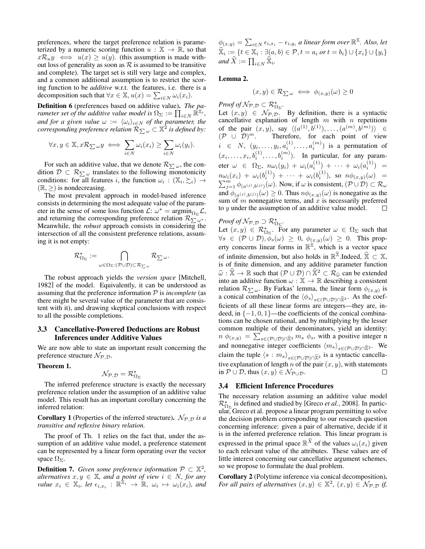preferences, where the target preference relation is parameterized by a numeric scoring function  $u : \mathbb{X} \to \mathbb{R}$ , so that  $x\mathcal{R}_u y \iff u(x) \geq u(y)$ . (this assumption is made without loss of generality as soon as  $R$  is assumed to be transitive and complete). The target set is still very large and complex, and a common additional assumption is to restrict the scoring function to be *additive* w.r.t. the features, i.e. there is a decomposition such that  $\forall x \in \mathbb{X}, u(x) = \sum_{i \in N} \omega_i(x_i)$ .

Definition 6 (preferences based on additive value). *The parameter set of the additive value model is*  $\Omega_{\Sigma} := \prod_{i \in N} \mathbb{R}^{\mathbb{X}_i}$ , *and for a given value*  $\omega := \langle \omega_i \rangle_{i \in N}$  *of the parameter, the corresponding preference relation*  $\overline{\mathcal{R}_{\sum \omega}} \subset \mathbb{X}^2$  is defined by:

$$
\forall x, y \in \mathbb{X}, x \mathcal{R}_{\sum \omega} y \iff \sum_{i \in N} \omega_i(x_i) \ge \sum_{i \in N} \omega_i(y_i).
$$

For such an additive value, that we denote  $\mathcal{R}_{\sum \omega}$ , the condition  $\mathcal{D} \subset \mathcal{R}_{\sum \omega}$  translates to the following monotonicity conditions: for all features i, the function  $\omega_i : (\mathbb{X}_i, \succsim_i) \rightarrow$  $(\mathbb{R}, >)$  is nondecreasing.

The most prevalent approach in model-based inference consists in determining the most adequate value of the parameter in the sense of some loss function  $\mathcal{L}: \omega^* = \operatorname{argmin}_{\Omega_{\Sigma}} \mathcal{L},$ and returning the corresponding preference relation  $\mathcal{R}_{\sum \omega^*}$ . Meanwhile, the *robust* approach consists in considering the intersection of all the consistent preference relations, assuming it is not empty:

$$
\mathcal{R}^\star_{\Omega_\Sigma}:=\bigcap_{\omega\in\Omega_\Sigma: (\mathcal{P}\cup\mathcal{D})\subset \mathcal{R}_{\sum \omega}}\mathcal{R}_{\sum \omega}.
$$

The robust approach yields the *version space* [Mitchell, 1982] of the model. Equivalently, it can be understood as assuming that the preference information  $P$  is *incomplete* (as there might be several value of the parameter that are consistent with it), and drawing skeptical conclusions with respect to all the possible completions.

#### 3.3 Cancellative-Powered Deductions are Robust Inferences under Additive Values

We are now able to state an important result concerning the preference structure  $\mathcal{N}_{\mathcal{P},\mathcal{D}}$ .

#### Theorem 1.

$$
\mathcal{N}_{\mathcal{P},\mathcal{D}}=\mathcal{R}^\star_{\Omega_\Sigma}
$$

The inferred preference structure is exactly the necessary preference relation under the assumption of an additive value model. This result has an important corollary concerning the inferred relation:

**Corollary 1** (Properties of the inferred structure).  $\mathcal{N}_{\mathcal{P}, \mathcal{D}}$  *is a transitive and reflexive binary relation.*

The proof of Th. 1 relies on the fact that, under the assumption of an additive value model, a preference statement can be represented by a linear form operating over the vector space  $\Omega_{\Sigma}$ .

**Definition 7.** Given some preference information  $P \subset \mathbb{X}^2$ , *alternatives*  $x, y \in \mathbb{X}$ *, and a point of view*  $i \in N$ *, for any value*  $x_i \in \mathbb{X}_i$ , let  $\epsilon_{i,x_i} : \mathbb{R}^{\mathbb{X}_i} \to \mathbb{R}$ ,  $\omega_i \mapsto \omega_i(x_i)$ , and

 $\phi_{(x,y)} = \sum_{i \in N} \epsilon_{i,x_i} - \epsilon_{i,y_i}$  a linear form over  $\mathbb{R}^{\mathbb{X}}$ . Also, let  $\widehat{\mathbb{X}}_i := \{t \in \mathbb{X}_i : \exists (a, b) \in \mathcal{P}, t = a_i \text{ or } t = b_i\} \cup \{x_i\} \cup \{y_i\}$ *and*  $\widehat{X} := \prod_{i \in N} \widehat{\mathbb{X}}_i$ .

### Lemma 2.

$$
(x,y)\in\mathcal{R}_{\sum\omega}\iff\phi_{(x,y)}(\omega)\geq0
$$

*Proof of*  $\mathcal{N}_{\mathcal{P}, \mathcal{D}} \subset \mathcal{R}_{\Omega_{\Sigma}}^{\star}$ .

Let  $(x, y) \in \mathcal{N}_{\mathcal{P}, \mathcal{D}}$ . By definition, there is a syntactic cancellative explanation of length  $m$  with  $n$  repetitions of the pair  $(x, y)$ , say  $\langle (a^{(1)}, b^{(1)}), \ldots, (a^{(m)}, b^{(m)}) \rangle \in$  $({\cal P} \cup [{\cal D})^m$ . Therefore, for each point of view  $i \in N$ ,  $(y_i, \ldots, y_i, a_i^{(1)}, \ldots, a_i^{(m)})$  is a permutation of  $(x_i, \ldots, x_i, b_i^{(1)}, \ldots, b_i^{(m)})$ . In particular, for any parameter  $\omega \in \Omega_{\Sigma}, \ n\omega_i(y_i) + \omega_i(a_i^{(1)}) + \cdots + \omega_i(a_i^{(1)}) =$  $n\omega_{i}(x_{i}) \ + \ \omega_{i}(b^{(1)}_{i}) \ + \ \cdots \ + \ \omega_{i}(b^{(1)}_{i}), \ \ \text{so} \ \ n\phi_{(x,y)}(\omega) \ \ =$  $\sum_{j=1}^m \phi_{(a^{(j)},b^{(j)})}(\omega)$ . Now, if  $\omega$  is consistent,  $(\mathcal{P} \cup \mathcal{D}) \subset \mathcal{R}_{\omega}$ and  $\phi_{(a^{(j)},b^{(j)})}(\omega) \ge 0$ . Thus  $n\phi_{(x,y)}(\omega)$  is nonegative as the sum of  $m$  nonnegative terms, and  $x$  is necessarily preferred to y under the assumption of an additive value model.  $\Box$ 

*Proof of*  $\mathcal{N}_{\mathcal{P}, \mathcal{D}} \supset \mathcal{R}_{\Omega_{\Sigma}}^{\star}$ .

Let  $(x, y) \in \mathcal{R}_{\Omega_{\Sigma}}^{\star}$ . For any parameter  $\omega \in \Omega_{\Sigma}$  such that  $\forall s \in (\mathcal{P} \cup \mathcal{D}), \bar{\phi}_s(\omega) \geq 0, \ \phi_{(x,y)}(\omega) \geq 0$ . This property concerns linear forms in  $\mathbb{R}^{\mathbb{X}}$ , which is a vector space of infinite dimension, but also holds in  $\mathbb{R}^{\hat{\mathbb{X}}}$ . Indeed,  $\hat{\mathbb{X}} \subset \mathbb{X}$ , is of finite dimension, and any additive parameter function  $\widehat{\omega} : \widehat{\mathbb{X}} \to \mathbb{R}$  such that  $(\mathcal{P} \cup \mathcal{D}) \cap \widehat{\mathbb{X}}^2 \subset \mathcal{R}_{\widehat{\omega}}$  can be extended into an additive function  $\omega : \mathbb{X} \to \mathbb{R}$  describing a consistent relation  $\mathcal{R}_{\sum \omega}$ . By Farkas' lemma, the linear form  $\phi_{(x,y)}$  is a conical combination of the  $\langle \phi_s \rangle_{s \in (\mathcal{P} \cup \mathcal{D}) \cap \hat{\mathbb{X}}^2}$ . As the coefficients of all these linear forms are integers—they are, indeed, in  $\{-1, 0, 1\}$ —the coefficients of the conical combinations can be chosen rational, and by multiplying by the lesser common multiple of their denominators, yield an identity:  $n \phi_{(x,y)} = \sum_{s \in (\mathcal{P} \cup \mathcal{D}) \cap \widehat{\mathbb{X}}^2} m_s \phi_s$ , with a positive integer n and nonnegative integer coefficients  $\langle m_s \rangle_{s \in (\mathcal{P} \cup \mathcal{D}) \cap \widehat{\mathbb{X}}^2}$ . We claim the tuple  $\langle s : m_s \rangle_{s \in (\mathcal{P} \cup \mathcal{D}) \cap \widehat{\mathbb{X}}^2}$  is a syntactic cancellative explanation of length  $n$  of the pair  $(x, y)$ , with statements in  $P \cup D$ , thus  $(x, y) \in \mathcal{N}_{P \cup D}$ . П

#### 3.4 Efficient Inference Procedures

The necessary relation assuming an additive value model  $\mathcal{R}_{\Omega_{\Sigma}}^{\star}$  is defined and studied by [Greco *et al.*, 2008]. In particular, Greco et al. propose a linear program permitting to solve the decision problem corresponding to our research question concerning inference: given a pair of alternative, decide if it is in the inferred preference relation. This linear program is expressed in the primal space  $\mathbb{R}^{\widehat{X}}$  of the values  $\omega_i(x_i)$  given to each relevant value of the attributes. These values are of little interest concerning our cancellative argument schemes, so we propose to formulate the dual problem.

Corollary 2 (Polytime inference via conical decomposition). *For all pairs of alternatives*  $(x, y) \in \mathbb{X}^2$ ,  $(x, y) \in \mathcal{N}_{\mathcal{P}, \mathcal{D}}$  *if,*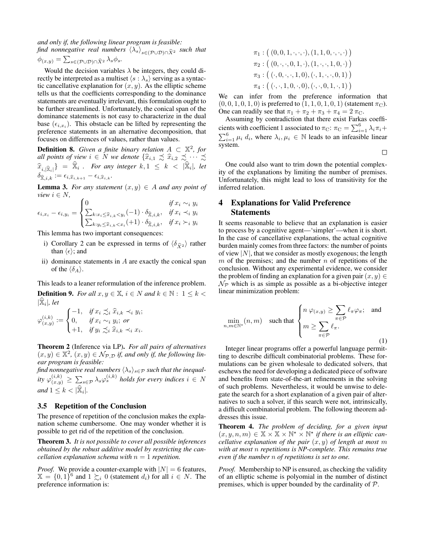*and only if, the following linear program is feasible: find nonnegative real numbers*  $\langle \lambda_s \rangle_{s \in (\mathcal{P} \cup \mathcal{D}) \cap \widehat{X}^2}$  *such that* 

$$
\phi_{(x,y)} = \sum_{s \in (\mathcal{P} \cup \mathcal{D}) \cap \widehat{X}^2} \lambda_s \phi_s.
$$

Would the decision variables  $\lambda$  be integers, they could directly be interpreted as a multiset  $\langle s : \lambda_{s} \rangle$  serving as a syntactic cancellative explanation for  $(x, y)$ . As the elliptic scheme tells us that the coefficients corresponding to the dominance statements are eventually irrelevant, this formulation ought to be further streamlined. Unfortunately, the conical span of the dominance statements is not easy to characterize in the dual base  $(\epsilon_{i,x_i})$ . This obstacle can be lifted by representing the preference statements in an alternative decomposition, that focuses on differences of values, rather than values.

**Definition 8.** Given a finite binary relation  $A \subset \mathbb{X}^2$ , for *all points of view*  $i \in N$  *we denote*  $\{\widehat{x}_{i,1} \precsim \widehat{x}_{i,2} \precsim \cdots \precsim$  $\left\{\widehat{x}_{i,|\widehat{x}_i|}\right\} = \widehat{x}_i$ . For any integer  $k, 1 \leq k < |\widehat{x}_i|$ , let  $\delta_{\widehat{\mathbb{X}},i,k} := \epsilon_{i,\widehat{x}_{i,k+1}} - \epsilon_{i,\widehat{x}_{i,k}}.$ 

**Lemma 3.** For any statement  $(x, y) \in A$  and any point of *view*  $i \in N$ ,

$$
\epsilon_{i,x_i} - \epsilon_{i,y_i} = \begin{cases}\n0 & \text{if } x_i \sim_i y_i \\
\sum_{k: x_i \leq \widehat{x}_{i,k} < y_i} (-1) \cdot \delta_{\widehat{x},i,k}, & \text{if } x_i \prec_i y_i \\
\sum_{k: y_i \leq \widehat{x}_{i,k} < x_i} (+1) \cdot \delta_{\widehat{x},i,k}, & \text{if } x_i \succ_i y_i\n\end{cases}
$$

This lemma has two important consequences:

- i) Corollary 2 can be expressed in terms of  $\langle \delta_{\hat{X}^2} \rangle$  rather than  $\langle \epsilon \rangle$ ; and
- ii) dominance statements in  $A$  are exactly the conical span of the  $\langle \delta_A \rangle$ .

This leads to a leaner reformulation of the inference problem.

**Definition 9.** *For all*  $x, y \in \mathbb{X}$ ,  $i \in N$  *and*  $k \in \mathbb{N}$ :  $1 \leq k$  $|\widehat{\mathbb{X}}_i|$ , let

$$
\varphi_{(x,y)}^{(i,k)} := \begin{cases}\n-1, & \text{if } x_i \precsim_i \widehat{x}_{i,k} \prec_i y_i; \\
0, & \text{if } x_i \sim_i y_i; \text{ or} \\
+1, & \text{if } y_i \precsim_i \widehat{x}_{i,k} \prec_i x_i.\n\end{cases}
$$

Theorem 2 (Inference via LP). *For all pairs of alternatives*  $(x, y) \in \mathbb{X}^2$ ,  $(x, y) \in \mathcal{N}_{\mathcal{P}, \mathcal{D}}$  *if, and only if, the following linear program is feasible:*

find nonnegative real numbers  $\langle \lambda_s \rangle_{s \in \mathcal{P}}$  *such that the inequal-* $\delta$  *ity*  $\varphi_{(x,y)}^{(i,k)} \ge \sum_{s \in \mathcal{P}} \lambda_s \varphi_s^{(i,k)}$  holds for every indices  $i \in N$  $and 1 \leq k < |\widehat{\mathbb{X}}_i|.$ 

#### 3.5 Repetition of the Conclusion

The presence of repetition of the conclusion makes the explanation scheme cumbersome. One may wonder whether it is possible to get rid of the repetition of the conclusion.

Theorem 3. *It is not possible to cover all possible inferences obtained by the robust additive model by restricting the cancellation explanation schema with*  $n = 1$  *repetition.* 

*Proof.* We provide a counter-example with  $|N| = 6$  features,  $\mathbb{X} = \{0, 1\}^6$  and  $1 \succsim_i 0$  (statement  $d_i$ ) for all  $i \in N$ . The preference information is:

$$
\pi_1: ((0,0,1,\cdot,\cdot,\cdot),(1,1,0,\cdot,\cdot,\cdot))
$$
  
\n
$$
\pi_2: ((0,\cdot,\cdot,0,1,\cdot),(1,\cdot,\cdot,1,0,\cdot))
$$
  
\n
$$
\pi_3: ((\cdot,0,\cdot,\cdot,1,0),(\cdot,1,\cdot,\cdot,0,1))
$$
  
\n
$$
\pi_4: ((\cdot,\cdot,1,0,\cdot,0),(\cdot,\cdot,0,1,\cdot,1))
$$

We can infer from the preference information that  $(0, 0, 1, 0, 1, 0)$  is preferred to  $(1, 1, 0, 1, 0, 1)$  (statement  $\pi_{\text{C}}$ ). One can readily see that  $\pi_1 + \pi_2 + \pi_3 + \pi_4 = 2 \pi_C$ .

Assuming by contradiction that there exist Farkas coefficients with coefficient 1 associated to  $\pi_{\text{C}}$ :  $\pi_{\text{C}} = \sum_{i=1}^{6} \lambda_i \pi_i +$  $\sum_{i=1}^{6} \mu_i d_i$ , where  $\lambda_i, \mu_i \in \mathbb{N}$  leads to an infeasible linear system.

 $\Box$ 

One could also want to trim down the potential complexity of the explanations by limiting the number of premises. Unfortunately, this might lead to loss of transitivity for the inferred relation.

## 4 Explanations for Valid Preference **Statements**

It seems reasonable to believe that an explanation is easier to process by a cognitive agent—'simpler'—when it is short. In the case of cancellative explanations, the actual cognitive burden mainly comes from three factors: the number of points of view  $|N|$ , that we consider as mostly exogenous; the length  $m$  of the premises; and the number  $n$  of repetitions of the conclusion. Without any experimental evidence, we consider the problem of finding an explanation for a given pair  $(x, y) \in$  $\mathcal{N}_{\mathcal{P}}$  which is as simple as possible as a bi-objective integer linear minimization problem:

$$
\min_{n,m \in \mathbb{N}^*} (n,m) \quad \text{such that} \quad \begin{cases} n \varphi_{(x,y)} \ge \sum_{\pi \in \mathcal{P}} \ell_{\pi} \varphi_{\pi}; \quad \text{and} \\ m \ge \sum_{\pi \in \mathcal{P}} \ell_{\pi}. \end{cases}
$$

Integer linear programs offer a powerful language permitting to describe difficult combinatorial problems. These formulations can be given wholesale to dedicated solvers, that eschews the need for developing a dedicated piece of software and benefits from state-of-the-art refinements in the solving of such problems. Nevertheless, it would be unwise to delegate the search for a short explanation of a given pair of alternatives to such a solver, if this search were not, intrinsically, a difficult combinatorial problem. The following theorem addresses this issue.

Theorem 4. *The problem of deciding, for a given input*  $(x, y, n, m) \in \mathbb{X} \times \mathbb{X} \times \mathbb{N}^* \times \mathbb{N}^*$  if there is an elliptic can*cellative explanation of the pair*  $(x, y)$  *of length at most* m *with at most* n *repetitions is NP-complete. This remains true even if the number* n *of repetitions is set to one.*

*Proof.* Membership to NP is ensured, as checking the validity of an elliptic scheme is polyomial in the number of distinct premises, which is upper bounded by the cardinality of  $P$ .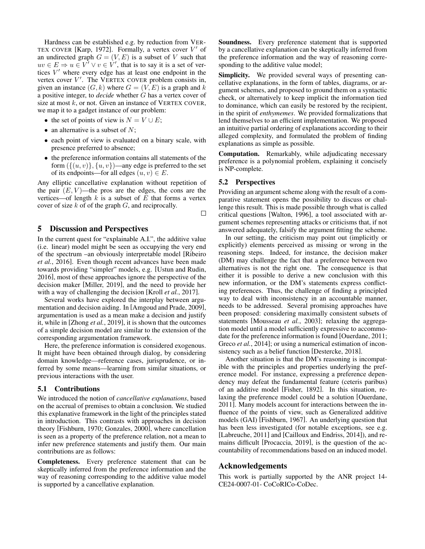Hardness can be established e.g. by reduction from VER-TEX COVER [Karp, 1972]. Formally, a vertex cover  $V'$  of an undirected graph  $G = (V, E)$  is a subset of V such that  $uv \in E \Rightarrow u \in V^7 \vee v \in V'$ , that is to say it is a set of vertices  $V'$  where every edge has at least one endpoint in the vertex cover  $V'$ . The VERTEX COVER problem consists in, given an instance  $(G, k)$  where  $G = (V, E)$  is a graph and k a positive integer, to *decide* whether G has a vertex cover of size at most  $k$ , or not. Given an instance of VERTEX COVER, we map it to a gadget instance of our problem:

- the set of points of view is  $N = V \cup E$ ;
- an alternative is a subset of  $N$ ;
- each point of view is evaluated on a binary scale, with presence preferred to absence;
- the preference information contains all statements of the form  $({(u, v)}, {u, v})$ —any edge is preferred to the set of its endpoints—for all edges  $(u, v) \in E$ .

Any elliptic cancellative explanation without repetition of the pair  $(E, V)$ —the pros are the edges, the cons are the vertices—of length  $k$  is a subset of  $E$  that forms a vertex cover of size  $k$  of of the graph  $G$ , and reciprocally.

 $\Box$ 

## 5 Discussion and Perspectives

In the current quest for "explainable A.I.", the additive value (i.e. linear) model might be seen as occupying the very end of the spectrum –an obviously interpretable model [Ribeiro *et al.*, 2016]. Even though recent advances have been made towards providing "simpler" models, e.g. [Ustun and Rudin, 2016], most of these approaches ignore the perspective of the decision maker [Miller, 2019], and the need to provide her with a way of challenging the decision [Kroll *et al.*, 2017].

Several works have explored the interplay between argumentation and decision aiding. In [Amgoud and Prade, 2009], argumentation is used as a mean make a decision and justify it, while in [Zhong *et al.*, 2019], it is shown that the outcomes of a simple decision model are similar to the extension of the corresponding argumentation framework.

Here, the preference information is considered exogenous. It might have been obtained through dialog, by considering domain knowledge—reference cases, jurisprudence, or inferred by some means—learning from similar situations, or previous interactions with the user.

#### 5.1 Contributions

We introduced the notion of *cancellative explanations*, based on the accrual of premises to obtain a conclusion. We studied this explanative framework in the light of the principles stated in introduction. This contrasts with approaches in decision theory [Fishburn, 1970; Gonzales, 2000], where cancellation is seen as a property of the preference relation, not a mean to infer new preference statements and justify them. Our main contributions are as follows:

Completeness. Every preference statement that can be skeptically inferred from the preference information and the way of reasoning corresponding to the additive value model is supported by a cancellative explanation.

Soundness. Every preference statement that is supported by a cancellative explanation can be skeptically inferred from the preference information and the way of reasoning corresponding to the additive value model;

Simplicity. We provided several ways of presenting cancellative explanations, in the form of tables, diagrams, or argument schemes, and proposed to ground them on a syntactic check, or alternatively to keep implicit the information tied to dominance, which can easily be restored by the recipient, in the spirit of *enthymemes*. We provided formalizations that lend themselves to an efficient implementation. We proposed an intuitive partial ordering of explanations according to their alleged complexity, and formulated the problem of finding explanations as simple as possible.

Computation. Remarkably, while adjudicating necessary preference is a polynomial problem, explaining it concisely is NP-complete.

#### 5.2 Perspectives

Providing an argument scheme along with the result of a comparative statement opens the possibility to discuss or challenge this result. This is made possible through what is called critical questions [Walton, 1996], a tool associated with argument schemes representing attacks or criticisms that, if not answered adequately, falsify the argument fitting the scheme.

In our setting, the criticism may point out (implicitly or explicitly) elements perceived as missing or wrong in the reasoning steps. Indeed, for instance, the decision maker (DM) may challenge the fact that a preference between two alternatives is not the right one. The consequence is that either it is possible to derive a new conclusion with this new information, or the DM's statements express conflicting preferences. Thus, the challenge of finding a principled way to deal with inconsistency in an accountable manner, needs to be addressed. Several promising approaches have been proposed: considering maximally consistent subsets of statements [Mousseau *et al.*, 2003]; relaxing the aggregation model until a model sufficiently expressive to accommodate for the preference information is found [Ouerdane, 2011; Greco *et al.*, 2014]; or using a numerical estimation of inconsistency such as a belief function [Destercke, 2018].

Another situation is that the DM's reasoning is incompatible with the principles and properties underlying the preference model. For instance, expressing a preference dependency may defeat the fundamental feature (ceteris paribus) of an additive model [Fisher, 1892]. In this situation, relaxing the preference model could be a solution [Ouerdane, 2011]. Many models account for interactions between the influence of the points of view, such as Generalized additive models (GAI) [Fishburn, 1967]. An underlying question that has been less investigated (for notable exceptions, see e.g. [Labreuche, 2011] and [Cailloux and Endriss, 2014]), and remains difficult [Procaccia, 2019], is the question of the accountability of recommendations based on an induced model.

#### Acknowledgements

This work is partially supported by the ANR project 14- CE24-0007-01- CoCoRICo-CoDec.